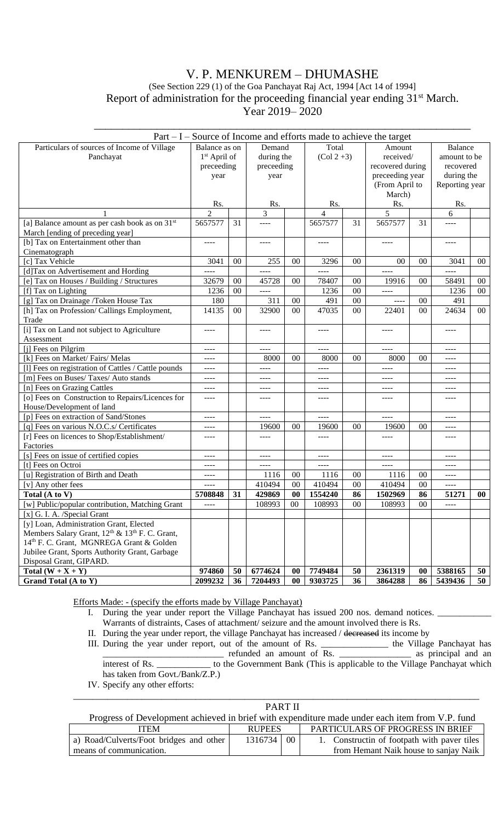# V. P. MENKUREM – DHUMASHE

(See Section 229 (1) of the Goa Panchayat Raj Act, 1994 [Act 14 of 1994]

Report of administration for the proceeding financial year ending 31<sup>st</sup> March.

Year 2019– 2020

|                                                                                                |                                                         |    |                                    |                     |                        |            | $Part - I - Source$ of Income and efforts made to achieve the target |                         |                                      |           |  |
|------------------------------------------------------------------------------------------------|---------------------------------------------------------|----|------------------------------------|---------------------|------------------------|------------|----------------------------------------------------------------------|-------------------------|--------------------------------------|-----------|--|
| Particulars of sources of Income of Village<br>Panchayat                                       | Balance as on<br>1 <sup>st</sup> April of<br>preceeding |    | Demand<br>during the<br>preceeding |                     | Total<br>$(Col 2 + 3)$ |            | Amount<br>received/<br>recovered during                              |                         | Balance<br>amount to be<br>recovered |           |  |
|                                                                                                | year                                                    |    | year                               |                     |                        |            | preceeding year<br>(From April to<br>March)                          |                         | during the<br>Reporting year         |           |  |
|                                                                                                | Rs.                                                     |    | Rs.                                |                     | Rs.                    |            |                                                                      | Rs.                     |                                      | Rs.       |  |
|                                                                                                | $\overline{2}$                                          |    | 3                                  |                     | 4                      |            | 5                                                                    |                         | 6                                    |           |  |
| [a] Balance amount as per cash book as on 31 <sup>st</sup><br>March [ending of preceding year] | 5657577                                                 | 31 | ----                               |                     | 5657577                | 31         | 5657577                                                              | 31                      | ----                                 |           |  |
| [b] Tax on Entertainment other than<br>Cinematograph                                           | ----                                                    |    | $- - - -$                          |                     | $- - - -$              |            | ----                                                                 |                         | $- - - -$                            |           |  |
| [c] Tax Vehicle                                                                                | 3041                                                    | 00 | 255                                | 00                  | 3296                   | $00\,$     | 00                                                                   | 0 <sup>0</sup>          | 3041                                 | 00        |  |
| [d]Tax on Advertisement and Hording                                                            | ----                                                    |    |                                    |                     | ----                   |            | ----                                                                 |                         | ----                                 |           |  |
| [e] Tax on Houses / Building / Structures                                                      | 32679                                                   | 00 | 45728                              | 00                  | 78407                  | $00\,$     | 19916                                                                | 0 <sup>0</sup>          | 58491                                | 00        |  |
| [f] Tax on Lighting                                                                            | 1236                                                    | 00 | $---$                              |                     | 1236                   | 00         | ----                                                                 |                         | 1236                                 | 00        |  |
| [g] Tax on Drainage /Token House Tax                                                           | 180                                                     |    | 311                                | $00\,$              | 491                    | 00         | ----                                                                 | 00                      | 491                                  |           |  |
| [h] Tax on Profession/ Callings Employment,<br>Trade                                           | 14135                                                   | 00 | 32900                              | 00                  | 47035                  | 00         | 22401                                                                | 00                      | 24634                                | $00\,$    |  |
| [i] Tax on Land not subject to Agriculture<br>Assessment                                       | ----                                                    |    | ----                               |                     | ----                   |            | ----                                                                 |                         | ----                                 |           |  |
| [j] Fees on Pilgrim                                                                            | $- - - -$                                               |    | $---$                              |                     | ----                   |            | ----                                                                 |                         | $- - - -$                            |           |  |
| [k] Fees on Market/ Fairs/ Melas                                                               | $- - - -$                                               |    | 8000                               | 00                  | 8000                   | 00         | 8000                                                                 | 00                      | $- - - -$                            |           |  |
| [1] Fees on registration of Cattles / Cattle pounds                                            | $---$                                                   |    | $---$                              |                     | ----                   |            | ----                                                                 |                         | $- - - -$                            |           |  |
| [m] Fees on Buses/ Taxes/ Auto stands                                                          | $---$                                                   |    | $---$                              |                     | $---$                  |            | ----                                                                 |                         | $- - - -$                            |           |  |
| [n] Fees on Grazing Cattles                                                                    | $---$                                                   |    | $- - - -$                          |                     | $---$                  |            | ----                                                                 |                         | $---$                                |           |  |
| [o] Fees on Construction to Repairs/Licences for<br>House/Development of land                  | ----                                                    |    | ----                               |                     | ----                   |            | ----                                                                 |                         | ----                                 |           |  |
| [p] Fees on extraction of Sand/Stones                                                          | ----                                                    |    | $---$                              |                     | $---$                  |            | ----                                                                 |                         | $- - - -$                            |           |  |
| [q] Fees on various N.O.C.s/ Certificates                                                      | ----                                                    |    | 19600                              | 00                  | 19600                  | 00         | 19600                                                                | 0 <sup>0</sup>          | $- - - -$                            |           |  |
| [r] Fees on licences to Shop/Establishment/<br>Factories                                       | ----                                                    |    | ----                               |                     | ----                   |            |                                                                      |                         | ----                                 |           |  |
| [s] Fees on issue of certified copies                                                          | ----                                                    |    | ----                               |                     | ----                   |            | ----                                                                 |                         | $- - - -$                            |           |  |
| [t] Fees on Octroi                                                                             | ----                                                    |    | $- - - -$                          |                     | ----                   |            | ----                                                                 |                         | $---$                                |           |  |
| [u] Registration of Birth and Death                                                            | ----                                                    |    | 1116                               | $00\,$              | 1116                   | $00\,$     | 1116                                                                 | $00\,$                  | $- - - -$                            |           |  |
| [v] Any other fees                                                                             |                                                         |    | 410494                             | $00\,$              | 410494                 | ${\bf 00}$ | 410494                                                               | $00\,$                  |                                      |           |  |
| Total (A to V)                                                                                 | 5708848                                                 | 31 | 429869                             | $\bf{00}$           | 1554240                | 86         | 1502969                                                              | 86                      | 51271                                | $\bf{00}$ |  |
| [w] Public/popular contribution, Matching Grant                                                | $---$                                                   |    | 108993                             | $00\,$              | 108993                 | $00\,$     | 108993                                                               | 00                      |                                      |           |  |
| [x] G. I. A. /Special Grant                                                                    |                                                         |    |                                    |                     |                        |            |                                                                      |                         |                                      |           |  |
| [y] Loan, Administration Grant, Elected                                                        |                                                         |    |                                    |                     |                        |            |                                                                      |                         |                                      |           |  |
| Members Salary Grant, 12 <sup>th</sup> & 13 <sup>th</sup> F. C. Grant,                         |                                                         |    |                                    |                     |                        |            |                                                                      |                         |                                      |           |  |
| 14th F. C. Grant, MGNREGA Grant & Golden                                                       |                                                         |    |                                    |                     |                        |            |                                                                      |                         |                                      |           |  |
| Jubilee Grant, Sports Authority Grant, Garbage                                                 |                                                         |    |                                    |                     |                        |            |                                                                      |                         |                                      |           |  |
| Disposal Grant, GIPARD.                                                                        | 974860                                                  | 50 | 6774624                            |                     | 7749484                |            | 2361319                                                              |                         | 5388165                              |           |  |
| Total $(W + X + Y)$<br>Grand Total (A to Y)                                                    | 2099232                                                 | 36 | 7204493                            | $\bf{00}$<br>$00\,$ | 9303725                | 50<br>36   | 3864288                                                              | $\boldsymbol{00}$<br>86 | 5439436                              | 50<br>50  |  |

Efforts Made: - (specify the efforts made by Village Panchayat)

I. During the year under report the Village Panchayat has issued 200 nos. demand notices. Warrants of distraints, Cases of attachment/ seizure and the amount involved there is Rs.

II. During the year under report, the village Panchayat has increased / decreased its income by

- 
- III. During the year under report, out of the amount of Rs. \_\_\_\_\_\_\_\_\_\_\_\_\_\_\_\_\_\_\_ the Village Panchayat has The same of Rs. \_\_\_\_\_\_\_\_\_\_\_\_\_\_\_ refunded an amount of Rs. \_\_\_\_\_\_\_\_\_\_\_\_\_\_\_\_\_ as principal and an interest of Rs. \_\_\_\_\_\_\_\_\_\_\_\_\_ to the Government Bank (This is applicable to the Village Panchayat which has taken from Govt./Bank/Z.P.)
- IV. Specify any other efforts: \_\_\_\_\_\_\_\_\_\_\_\_\_\_\_\_\_\_\_\_\_\_\_\_\_\_\_\_\_\_\_\_\_\_\_\_\_\_\_\_\_\_\_\_\_\_\_\_\_\_\_\_\_\_\_\_\_\_\_\_\_\_\_\_\_\_\_\_\_\_\_\_\_\_\_\_\_\_\_\_\_\_\_

| PART II                                                                                        |               |                 |                                             |  |  |  |  |
|------------------------------------------------------------------------------------------------|---------------|-----------------|---------------------------------------------|--|--|--|--|
| Progress of Development achieved in brief with expenditure made under each item from V.P. fund |               |                 |                                             |  |  |  |  |
| ITEM                                                                                           | <b>RUPEES</b> |                 | PARTICULARS OF PROGRESS IN BRIEF            |  |  |  |  |
| a) Road/Culverts/Foot bridges and other                                                        | 1316734       | 00 <sup>1</sup> | 1. Constructin of footpath with paver tiles |  |  |  |  |
| means of communication.                                                                        |               |                 | from Hemant Naik house to sanjay Naik       |  |  |  |  |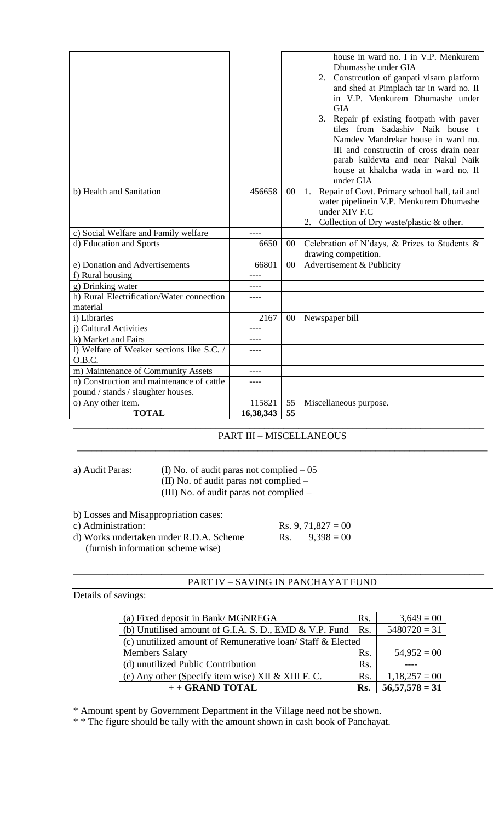|                                           |           |        | house in ward no. I in V.P. Menkurem                                                        |
|-------------------------------------------|-----------|--------|---------------------------------------------------------------------------------------------|
|                                           |           |        | Dhumasshe under GIA                                                                         |
|                                           |           |        | Constrcution of ganpati visarn platform<br>2.                                               |
|                                           |           |        | and shed at Pimplach tar in ward no. II                                                     |
|                                           |           |        | in V.P. Menkurem Dhumashe under                                                             |
|                                           |           |        | <b>GIA</b>                                                                                  |
|                                           |           |        | 3. Repair pf existing footpath with paver                                                   |
|                                           |           |        | tiles from Sadashiv Naik house t                                                            |
|                                           |           |        | Namdev Mandrekar house in ward no.                                                          |
|                                           |           |        | III and constructin of cross drain near                                                     |
|                                           |           |        | parab kuldevta and near Nakul Naik                                                          |
|                                           |           |        | house at khalcha wada in ward no. II                                                        |
| b) Health and Sanitation                  | 456658    | $00\,$ | under GIA                                                                                   |
|                                           |           |        | 1. Repair of Govt. Primary school hall, tail and<br>water pipelinein V.P. Menkurem Dhumashe |
|                                           |           |        | under XIV F.C                                                                               |
|                                           |           |        | Collection of Dry waste/plastic & other.<br>2.                                              |
| c) Social Welfare and Family welfare      | $- - - -$ |        |                                                                                             |
| d) Education and Sports                   | 6650      | $00\,$ | Celebration of N'days, & Prizes to Students &                                               |
|                                           |           |        | drawing competition.                                                                        |
| e) Donation and Advertisements            | 66801     | 00     | Advertisement & Publicity                                                                   |
| f) Rural housing                          |           |        |                                                                                             |
| g) Drinking water                         |           |        |                                                                                             |
| h) Rural Electrification/Water connection |           |        |                                                                                             |
| material                                  |           |        |                                                                                             |
| i) Libraries                              | 2167      | 00     | Newspaper bill                                                                              |
| i) Cultural Activities                    |           |        |                                                                                             |
| k) Market and Fairs                       |           |        |                                                                                             |
| 1) Welfare of Weaker sections like S.C. / | ----      |        |                                                                                             |
| O.B.C.                                    |           |        |                                                                                             |
| m) Maintenance of Community Assets        | ----      |        |                                                                                             |
| n) Construction and maintenance of cattle | ----      |        |                                                                                             |
| pound / stands / slaughter houses.        |           |        |                                                                                             |
| o) Any other item.                        | 115821    | 55     | Miscellaneous purpose.                                                                      |
| <b>TOTAL</b>                              | 16,38,343 | 55     |                                                                                             |
|                                           |           |        |                                                                                             |

# PART III – MISCELLANEOUS \_\_\_\_\_\_\_\_\_\_\_\_\_\_\_\_\_\_\_\_\_\_\_\_\_\_\_\_\_\_\_\_\_\_\_\_\_\_\_\_\_\_\_\_\_\_\_\_\_\_\_\_\_\_\_\_\_\_\_\_\_\_\_\_\_\_\_\_\_\_\_\_\_\_\_\_\_\_\_\_\_\_\_\_

a) Audit Paras: (I) No. of audit paras not complied – 05 (II) No. of audit paras not complied –

(III) No. of audit paras not complied –

b) Losses and Misappropriation cases:

c) Administration: Rs.  $9, 71,827 = 00$ 

d) Works undertaken under R.D.A. Scheme  $Rs.$  9,398 = 00 (furnish information scheme wise)

## \_\_\_\_\_\_\_\_\_\_\_\_\_\_\_\_\_\_\_\_\_\_\_\_\_\_\_\_\_\_\_\_\_\_\_\_\_\_\_\_\_\_\_\_\_\_\_\_\_\_\_\_\_\_\_\_\_\_\_\_\_\_\_\_\_\_\_\_\_\_\_\_\_\_\_\_\_\_\_\_\_\_\_\_ PART IV – SAVING IN PANCHAYAT FUND

Details of savings:

| (a) Fixed deposit in Bank/MGNREGA                          | Rs. | $3,649 = 00$     |
|------------------------------------------------------------|-----|------------------|
| (b) Unutilised amount of G.I.A. S. D., EMD & V.P. Fund     | Rs. | $5480720 = 31$   |
| (c) unutilized amount of Remunerative loan/Staff & Elected |     |                  |
| <b>Members Salary</b>                                      | Rs. | $54,952 = 00$    |
| (d) unutilized Public Contribution                         | Rs. |                  |
| (e) Any other (Specify item wise) XII & XIII F. C.         | Rs. | $1,18,257 = 00$  |
| ++ GRAND TOTAL                                             | Rs. | $56,57,578 = 31$ |

\* Amount spent by Government Department in the Village need not be shown.

\* \* The figure should be tally with the amount shown in cash book of Panchayat.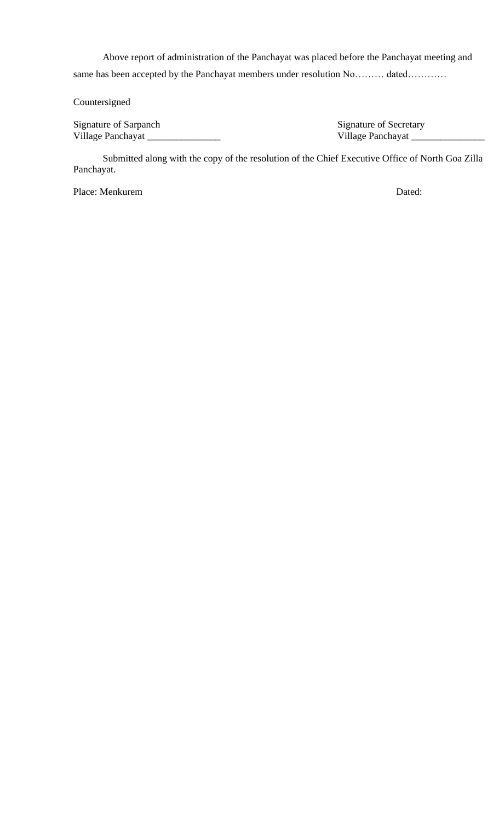Above report of administration of the Panchayat was placed before the Panchayat meeting and same has been accepted by the Panchayat members under resolution No……… dated…………

Countersigned

Signature of Sarpanch<br>
Village Panchayat 
Unit are secretary<br>
Village Panchayat

Unit are secretary<br>
Village Panchayat

Unit are secretary<br>
Unit are secretary<br>
Unit are secretary<br>
Unit are secretary<br>
Unit are secretary<br>
Un Village Panchayat \_\_\_\_\_\_\_\_\_\_\_\_\_\_\_ Village Panchayat \_\_\_\_\_\_\_\_\_\_\_\_\_\_\_

Submitted along with the copy of the resolution of the Chief Executive Office of North Goa Zilla Panchayat.

Place: Menkurem Dated: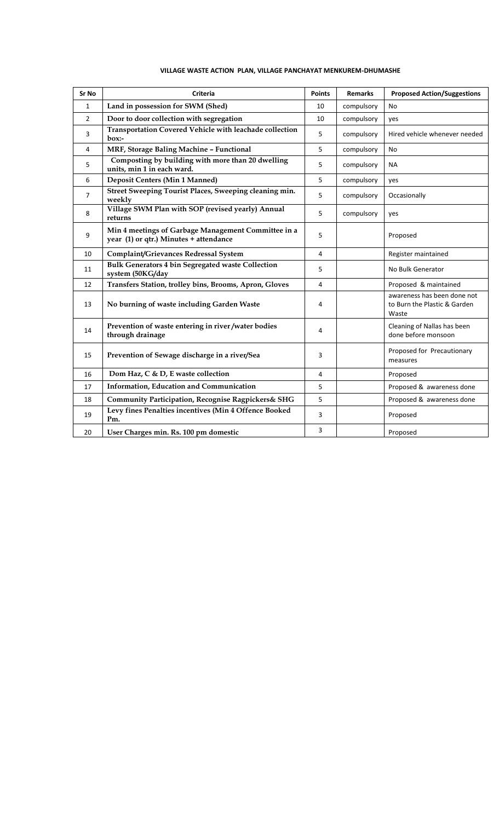| Sr No          | <b>Criteria</b>                                                                               | <b>Points</b>  | Remarks    | <b>Proposed Action/Suggestions</b>                                   |
|----------------|-----------------------------------------------------------------------------------------------|----------------|------------|----------------------------------------------------------------------|
| $\mathbf{1}$   | Land in possession for SWM (Shed)                                                             | 10             | compulsory | <b>No</b>                                                            |
| $\overline{2}$ | Door to door collection with segregation                                                      | 10             | compulsory | yes                                                                  |
| 3              | Transportation Covered Vehicle with leachade collection<br>box:                               | 5              | compulsory | Hired vehicle whenever needed                                        |
| 4              | MRF, Storage Baling Machine - Functional                                                      | 5              | compulsory | No                                                                   |
| 5              | Composting by building with more than 20 dwelling<br>units, min 1 in each ward.               | 5              | compulsory | <b>NA</b>                                                            |
| 6              | <b>Deposit Centers (Min 1 Manned)</b>                                                         | 5              | compulsory | yes                                                                  |
| 7              | Street Sweeping Tourist Places, Sweeping cleaning min.<br>weekly                              | 5              | compulsory | Occasionally                                                         |
| 8              | Village SWM Plan with SOP (revised yearly) Annual<br>returns                                  | 5              | compulsory | yes                                                                  |
| 9              | Min 4 meetings of Garbage Management Committee in a<br>year (1) or qtr.) Minutes + attendance | 5              |            | Proposed                                                             |
| 10             | <b>Complaint/Grievances Redressal System</b>                                                  | 4              |            | Register maintained                                                  |
| 11             | Bulk Generators 4 bin Segregated waste Collection<br>system (50KG/day                         | 5              |            | No Bulk Generator                                                    |
| 12             | Transfers Station, trolley bins, Brooms, Apron, Gloves                                        | $\overline{4}$ |            | Proposed & maintained                                                |
| 13             | No burning of waste including Garden Waste                                                    | 4              |            | awareness has been done not<br>to Burn the Plastic & Garden<br>Waste |
| 14             | Prevention of waste entering in river/water bodies<br>through drainage                        | 4              |            | Cleaning of Nallas has been<br>done before monsoon                   |
| 15             | Prevention of Sewage discharge in a river/Sea                                                 | 3              |            | Proposed for Precautionary<br>measures                               |
| 16             | Dom Haz, C & D, E waste collection                                                            | 4              |            | Proposed                                                             |
| 17             | Information, Education and Communication                                                      | 5              |            | Proposed & awareness done                                            |
| 18             | <b>Community Participation, Recognise Ragpickers&amp; SHG</b>                                 | 5              |            | Proposed & awareness done                                            |
| 19             | Levy fines Penalties incentives (Min 4 Offence Booked<br>Pm.                                  | 3              |            | Proposed                                                             |
| 20             | User Charges min. Rs. 100 pm domestic                                                         | 3              |            | Proposed                                                             |

#### **VILLAGE WASTE ACTION PLAN, VILLAGE PANCHAYAT MENKUREM-DHUMASHE**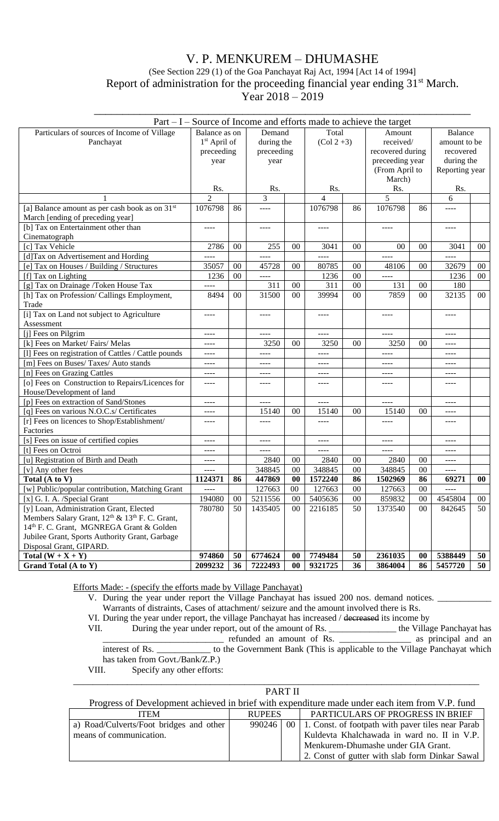# V. P. MENKUREM – DHUMASHE (See Section 229 (1) of the Goa Panchayat Raj Act, 1994 [Act 14 of 1994] Report of administration for the proceeding financial year ending 31<sup>st</sup> March. Year 2018 – 2019

|                                                                                                |                                                       |        |                                            |                   |                        |        | $Part - I - Source of Income and efforts made to achieve the target$                                                                                                                                                                                                                                                                                                                         |           |                                                                             |                |
|------------------------------------------------------------------------------------------------|-------------------------------------------------------|--------|--------------------------------------------|-------------------|------------------------|--------|----------------------------------------------------------------------------------------------------------------------------------------------------------------------------------------------------------------------------------------------------------------------------------------------------------------------------------------------------------------------------------------------|-----------|-----------------------------------------------------------------------------|----------------|
| Particulars of sources of Income of Village<br>Panchayat                                       | Balance as on<br>$1st$ April of<br>preceeding<br>year |        | Demand<br>during the<br>preceeding<br>year |                   | Total<br>$(Col 2 + 3)$ |        | Amount<br>received/<br>recovered during<br>preceeding year<br>(From April to<br>March)                                                                                                                                                                                                                                                                                                       |           | <b>Balance</b><br>amount to be<br>recovered<br>during the<br>Reporting year |                |
|                                                                                                | Rs.                                                   |        | Rs.                                        |                   | Rs.                    |        | Rs.                                                                                                                                                                                                                                                                                                                                                                                          |           | Rs.                                                                         |                |
|                                                                                                | $\overline{2}$                                        |        | 3                                          |                   | 4                      |        | 5                                                                                                                                                                                                                                                                                                                                                                                            |           | 6                                                                           |                |
| [a] Balance amount as per cash book as on 31 <sup>st</sup><br>March [ending of preceding year] | 1076798                                               | 86     | ----                                       |                   | 1076798                | 86     | 1076798                                                                                                                                                                                                                                                                                                                                                                                      | 86        | ----                                                                        |                |
| [b] Tax on Entertainment other than<br>Cinematograph                                           | ----                                                  |        | ----                                       |                   | ----                   |        | $---$                                                                                                                                                                                                                                                                                                                                                                                        |           | ----                                                                        |                |
| [c] Tax Vehicle                                                                                | 2786                                                  | $00\,$ | 255                                        | 00                | 3041                   | $00\,$ | 00                                                                                                                                                                                                                                                                                                                                                                                           | $00\,$    | 3041                                                                        | 00             |
| [d]Tax on Advertisement and Hording                                                            | ----                                                  |        | ----                                       |                   | ----                   |        | ----                                                                                                                                                                                                                                                                                                                                                                                         |           | ----                                                                        |                |
| [e] Tax on Houses / Building / Structures                                                      | 35057                                                 | $00\,$ | 45728                                      | 00                | 80785                  | 00     | 48106                                                                                                                                                                                                                                                                                                                                                                                        | 00        | 32679                                                                       | 00             |
| [f] Tax on Lighting                                                                            | 1236                                                  | $00\,$ | ----                                       |                   | 1236                   | 00     | $\frac{1}{2} \frac{1}{2} \frac{1}{2} \frac{1}{2} \frac{1}{2} \frac{1}{2} \frac{1}{2} \frac{1}{2} \frac{1}{2} \frac{1}{2} \frac{1}{2} \frac{1}{2} \frac{1}{2} \frac{1}{2} \frac{1}{2} \frac{1}{2} \frac{1}{2} \frac{1}{2} \frac{1}{2} \frac{1}{2} \frac{1}{2} \frac{1}{2} \frac{1}{2} \frac{1}{2} \frac{1}{2} \frac{1}{2} \frac{1}{2} \frac{1}{2} \frac{1}{2} \frac{1}{2} \frac{1}{2} \frac{$ |           | 1236                                                                        | 0 <sup>0</sup> |
| [g] Tax on Drainage /Token House Tax                                                           | $- - - -$                                             |        | 311                                        | $00\,$            | 311                    | 00     | 131                                                                                                                                                                                                                                                                                                                                                                                          | $00\,$    | 180                                                                         |                |
| [h] Tax on Profession/ Callings Employment,<br>Trade                                           | 8494                                                  | $00\,$ | 31500                                      | 00                | 39994                  | $00\,$ | 7859                                                                                                                                                                                                                                                                                                                                                                                         | 00        | 32135                                                                       | 00             |
| [i] Tax on Land not subject to Agriculture<br>Assessment                                       | ----                                                  |        | ----                                       |                   | ----                   |        | ----                                                                                                                                                                                                                                                                                                                                                                                         |           | ----                                                                        |                |
| [j] Fees on Pilgrim                                                                            | $- - - -$                                             |        | ----                                       |                   | ----                   |        | $---$                                                                                                                                                                                                                                                                                                                                                                                        |           | $- - - -$                                                                   |                |
| [k] Fees on Market/ Fairs/ Melas                                                               | $- - - -$                                             |        | 3250                                       | 00                | 3250                   | 00     | 3250                                                                                                                                                                                                                                                                                                                                                                                         | 00        | $- - - -$                                                                   |                |
| [1] Fees on registration of Cattles / Cattle pounds                                            | $- - - -$                                             |        | ----                                       |                   | ----                   |        | $---$                                                                                                                                                                                                                                                                                                                                                                                        |           | $---$                                                                       |                |
| [m] Fees on Buses/ Taxes/ Auto stands                                                          | $- - - -$                                             |        | ----                                       |                   | ----                   |        | $- - - -$                                                                                                                                                                                                                                                                                                                                                                                    |           | $- - - -$                                                                   |                |
| [n] Fees on Grazing Cattles                                                                    | $- - - -$                                             |        | ----                                       |                   | ----                   |        | $- - - -$                                                                                                                                                                                                                                                                                                                                                                                    |           | $- - - -$                                                                   |                |
| [o] Fees on Construction to Repairs/Licences for<br>House/Development of land                  | $- - - -$                                             |        | ----                                       |                   | ----                   |        | $- - - -$                                                                                                                                                                                                                                                                                                                                                                                    |           | ----                                                                        |                |
| [p] Fees on extraction of Sand/Stones                                                          | $- - - -$                                             |        | ----                                       |                   | ----                   |        | ----                                                                                                                                                                                                                                                                                                                                                                                         |           | ----                                                                        |                |
| [q] Fees on various N.O.C.s/ Certificates                                                      | $- - - -$                                             |        | 15140                                      | 00                | 15140                  | 00     | 15140                                                                                                                                                                                                                                                                                                                                                                                        | 00        | ----                                                                        |                |
| [r] Fees on licences to Shop/Establishment/<br>Factories                                       | $- - - -$                                             |        | ----                                       |                   | ----                   |        | ----                                                                                                                                                                                                                                                                                                                                                                                         |           | ----                                                                        |                |
| [s] Fees on issue of certified copies                                                          | $- - - -$                                             |        | ----                                       |                   | ----                   |        | $- - - -$                                                                                                                                                                                                                                                                                                                                                                                    |           | $- - - -$                                                                   |                |
| [t] Fees on Octroi                                                                             | $- - - -$                                             |        | ----                                       |                   | ----                   |        | $---$                                                                                                                                                                                                                                                                                                                                                                                        |           | $---$                                                                       |                |
| [u] Registration of Birth and Death                                                            | ----                                                  |        | 2840                                       | $00\,$            | 2840                   | $00\,$ | 2840                                                                                                                                                                                                                                                                                                                                                                                         | 00        | $- - - -$                                                                   |                |
| [v] Any other fees                                                                             |                                                       |        | 348845                                     | $00\,$            | 348845                 | $00\,$ | 348845                                                                                                                                                                                                                                                                                                                                                                                       | $00\,$    |                                                                             |                |
| Total (A to V)                                                                                 | 1124371                                               | 86     | 447869                                     | $\bf{00}$         | 1572240                | 86     | 1502969                                                                                                                                                                                                                                                                                                                                                                                      | 86        | 69271                                                                       | $\bf{00}$      |
| [w] Public/popular contribution, Matching Grant                                                | ----                                                  |        | 127663                                     | $00\,$            | 127663                 | $00\,$ | 127663                                                                                                                                                                                                                                                                                                                                                                                       | $00\,$    | ----                                                                        |                |
| [x] G. I. A. /Special Grant                                                                    | 194080                                                | $00\,$ | 5211556                                    | $00\,$            | 5405636                | $00\,$ | 859832                                                                                                                                                                                                                                                                                                                                                                                       | $00\,$    | 4545804                                                                     | $00\,$         |
| [y] Loan, Administration Grant, Elected                                                        | 780780                                                | 50     | 1435405                                    | 00                | 2216185                | 50     | 1373540                                                                                                                                                                                                                                                                                                                                                                                      | $00\,$    | 842645                                                                      | 50             |
| Members Salary Grant, 12 <sup>th</sup> & 13 <sup>th</sup> F. C. Grant,                         |                                                       |        |                                            |                   |                        |        |                                                                                                                                                                                                                                                                                                                                                                                              |           |                                                                             |                |
| 14th F. C. Grant, MGNREGA Grant & Golden                                                       |                                                       |        |                                            |                   |                        |        |                                                                                                                                                                                                                                                                                                                                                                                              |           |                                                                             |                |
| Jubilee Grant, Sports Authority Grant, Garbage                                                 |                                                       |        |                                            |                   |                        |        |                                                                                                                                                                                                                                                                                                                                                                                              |           |                                                                             |                |
| Disposal Grant, GIPARD.                                                                        |                                                       |        |                                            |                   |                        |        |                                                                                                                                                                                                                                                                                                                                                                                              |           |                                                                             |                |
| Total $(W + X + Y)$                                                                            | 974860                                                | 50     | 6774624                                    | $\boldsymbol{00}$ | 7749484                | 50     | 2361035                                                                                                                                                                                                                                                                                                                                                                                      | $\bf{00}$ | 5388449                                                                     | 50             |
| Grand Total (A to Y)                                                                           | 2099232                                               | 36     | 7222493                                    | $\bf{00}$         | 9321725                | 36     | 3864004                                                                                                                                                                                                                                                                                                                                                                                      | 86        | 5457720                                                                     | 50             |

Efforts Made: - (specify the efforts made by Village Panchayat)

V. During the year under report the Village Panchayat has issued 200 nos. demand notices.

Warrants of distraints, Cases of attachment/ seizure and the amount involved there is Rs.

VI. During the year under report, the village Panchayat has increased / decreased its income by

VII. During the year under report, out of the amount of Rs. \_\_\_\_\_\_\_\_\_\_\_\_\_\_\_ the Village Panchayat has

\_\_\_\_\_\_\_\_\_\_\_\_\_\_\_\_\_\_\_\_\_\_\_\_\_\_\_ refunded an amount of Rs. \_\_\_\_\_\_\_\_\_\_\_\_\_\_\_\_ as principal and an interest of Rs. \_\_\_\_\_\_\_\_\_\_\_\_ to the Government Bank (This is applicable to the Village Panchayat which has taken from Govt./Bank/Z.P.)<br>VIII. Specify any other efforts:

Specify any other efforts:

| PART II                                                                                        |               |  |                                                        |  |  |  |  |
|------------------------------------------------------------------------------------------------|---------------|--|--------------------------------------------------------|--|--|--|--|
| Progress of Development achieved in brief with expenditure made under each item from V.P. fund |               |  |                                                        |  |  |  |  |
| ITEM                                                                                           | <b>RUPEES</b> |  | PARTICULARS OF PROGRESS IN BRIEF                       |  |  |  |  |
| a) Road/Culverts/Foot bridges and other                                                        | 990246        |  | 00   1. Const. of footpath with paver tiles near Parab |  |  |  |  |
| means of communication.                                                                        |               |  | Kuldevta Khalchawada in ward no. II in V.P.            |  |  |  |  |
|                                                                                                |               |  | Menkurem-Dhumashe under GIA Grant.                     |  |  |  |  |
|                                                                                                |               |  | 2. Const of gutter with slab form Dinkar Sawal         |  |  |  |  |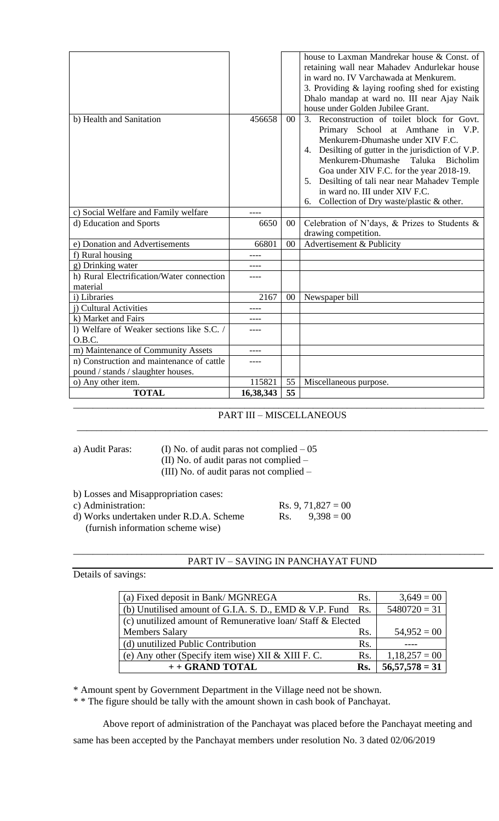|                                                                                 |           |        | house to Laxman Mandrekar house & Const. of<br>retaining wall near Mahadev Andurlekar house<br>in ward no. IV Varchawada at Menkurem.<br>3. Providing $\&$ laying roofing shed for existing<br>Dhalo mandap at ward no. III near Ajay Naik<br>house under Golden Jubilee Grant.                                                                                                                                              |
|---------------------------------------------------------------------------------|-----------|--------|------------------------------------------------------------------------------------------------------------------------------------------------------------------------------------------------------------------------------------------------------------------------------------------------------------------------------------------------------------------------------------------------------------------------------|
| b) Health and Sanitation                                                        | 456658    | $00\,$ | Reconstruction of toilet block for Govt.<br>3 <sub>1</sub><br>Primary School at Amthane in V.P.<br>Menkurem-Dhumashe under XIV F.C.<br>4. Desilting of gutter in the jurisdiction of V.P.<br>Menkurem-Dhumashe<br>Taluka<br><b>Bicholim</b><br>Goa under XIV F.C. for the year 2018-19.<br>5. Desilting of tali near near Mahadev Temple<br>in ward no. III under XIV F.C.<br>Collection of Dry waste/plastic & other.<br>6. |
| c) Social Welfare and Family welfare                                            |           |        |                                                                                                                                                                                                                                                                                                                                                                                                                              |
| d) Education and Sports                                                         | 6650      | 00     | Celebration of N'days, & Prizes to Students &<br>drawing competition.                                                                                                                                                                                                                                                                                                                                                        |
| e) Donation and Advertisements                                                  | 66801     | 00     | Advertisement & Publicity                                                                                                                                                                                                                                                                                                                                                                                                    |
| f) Rural housing                                                                |           |        |                                                                                                                                                                                                                                                                                                                                                                                                                              |
| g) Drinking water                                                               |           |        |                                                                                                                                                                                                                                                                                                                                                                                                                              |
| h) Rural Electrification/Water connection<br>material                           |           |        |                                                                                                                                                                                                                                                                                                                                                                                                                              |
| i) Libraries                                                                    | 2167      | $00\,$ | Newspaper bill                                                                                                                                                                                                                                                                                                                                                                                                               |
| j) Cultural Activities                                                          |           |        |                                                                                                                                                                                                                                                                                                                                                                                                                              |
| k) Market and Fairs                                                             |           |        |                                                                                                                                                                                                                                                                                                                                                                                                                              |
| 1) Welfare of Weaker sections like S.C. /<br>O.B.C.                             |           |        |                                                                                                                                                                                                                                                                                                                                                                                                                              |
| m) Maintenance of Community Assets                                              |           |        |                                                                                                                                                                                                                                                                                                                                                                                                                              |
| n) Construction and maintenance of cattle<br>pound / stands / slaughter houses. |           |        |                                                                                                                                                                                                                                                                                                                                                                                                                              |
| o) Any other item.                                                              | 115821    | 55     | Miscellaneous purpose.                                                                                                                                                                                                                                                                                                                                                                                                       |
| <b>TOTAL</b>                                                                    | 16,38,343 | 55     |                                                                                                                                                                                                                                                                                                                                                                                                                              |

## \_\_\_\_\_\_\_\_\_\_\_\_\_\_\_\_\_\_\_\_\_\_\_\_\_\_\_\_\_\_\_\_\_\_\_\_\_\_\_\_\_\_\_\_\_\_\_\_\_\_\_\_\_\_\_\_\_\_\_\_\_\_\_\_\_\_\_\_\_\_\_\_\_\_\_\_\_\_\_\_\_\_\_\_ PART III – MISCELLANEOUS \_\_\_\_\_\_\_\_\_\_\_\_\_\_\_\_\_\_\_\_\_\_\_\_\_\_\_\_\_\_\_\_\_\_\_\_\_\_\_\_\_\_\_\_\_\_\_\_\_\_\_\_\_\_\_\_\_\_\_\_\_\_\_\_\_\_\_\_\_\_\_\_\_\_\_\_\_\_\_\_\_\_\_\_

a) Audit Paras: (I) No. of audit paras not complied  $-05$ (II) No. of audit paras not complied – (III) No. of audit paras not complied –

- b) Losses and Misappropriation cases:<br>c) Administration:
- 
- Rs. 9, 71,827 = 00 d) Works undertaken under R.D.A. Scheme  $R_s$ . 9,398 = 00 (furnish information scheme wise)

#### \_\_\_\_\_\_\_\_\_\_\_\_\_\_\_\_\_\_\_\_\_\_\_\_\_\_\_\_\_\_\_\_\_\_\_\_\_\_\_\_\_\_\_\_\_\_\_\_\_\_\_\_\_\_\_\_\_\_\_\_\_\_\_\_\_\_\_\_\_\_\_\_\_\_\_\_\_\_\_\_\_\_\_\_ PART IV – SAVING IN PANCHAYAT FUND

Details of savings:

| (a) Fixed deposit in Bank/MGNREGA                          | Rs. | $3,649=00$       |
|------------------------------------------------------------|-----|------------------|
| (b) Unutilised amount of G.I.A. S. D., EMD & V.P. Fund     | Rs. | $5480720 = 31$   |
| (c) unutilized amount of Remunerative loan/Staff & Elected |     |                  |
| <b>Members Salary</b>                                      | Rs. | $54,952 = 00$    |
| (d) unutilized Public Contribution                         | Rs. |                  |
| (e) Any other (Specify item wise) XII & XIII F. C.         | Rs. | $1,18,257 = 00$  |
| ++ GRAND TOTAL                                             | Rs. | $56,57,578 = 31$ |

\* Amount spent by Government Department in the Village need not be shown.

\* \* The figure should be tally with the amount shown in cash book of Panchayat.

Above report of administration of the Panchayat was placed before the Panchayat meeting and

same has been accepted by the Panchayat members under resolution No. 3 dated 02/06/2019